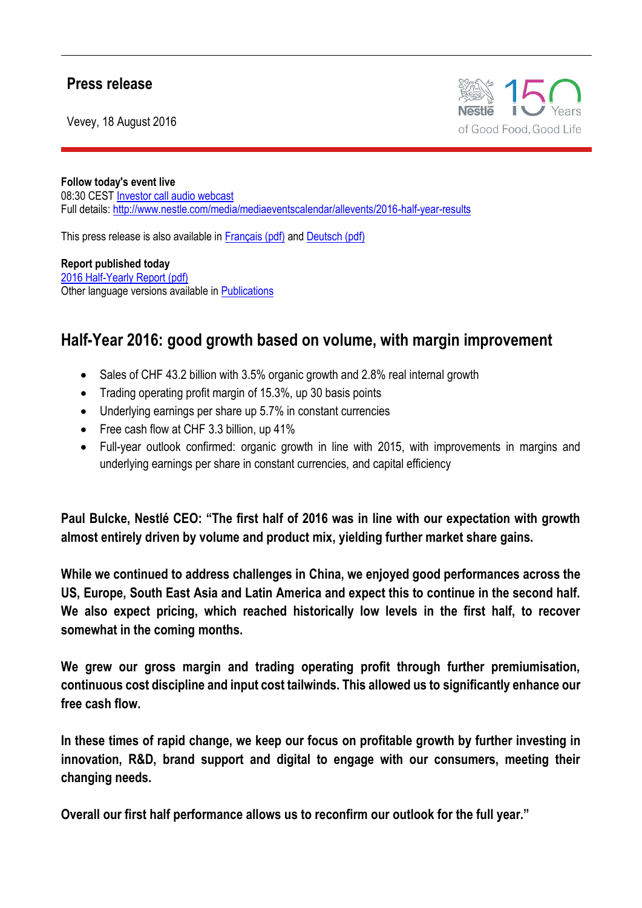## **Press release**

Vevey, 18 August 2016



**Follow today's event live** 08:30 CEST [Investor call audio webcast](http://edge.media-server.com/m/go/Nestle-2016-Half-year-results/gb_custom_2/webcastViewer) Full details:<http://www.nestle.com/media/mediaeventscalendar/allevents/2016-half-year-results>

This press release is also available i[n Français \(pdf\)](http://www.nestle.com/asset-library/Documents/Library/Events/2016-half-year-results/Press_Release_FR.pdf) and [Deutsch \(pdf\)](http://www.nestle.com/asset-library/Documents/Library/Events/2016-half-year-results/Press_Release_DE.pdf)

**Report published today** [2016 Half-Yearly Report \(pdf\)](http://www.nestle.com/asset-library/Documents/Library/Documents/Half_Yearly_Reports/2016-Half-Yearly-Report-EN.pdf) Other language versions available in [Publications](http://www.nestle.com/investors/publications)

## **Half-Year 2016: good growth based on volume, with margin improvement**

- Sales of CHF 43.2 billion with 3.5% organic growth and 2.8% real internal growth
- Trading operating profit margin of 15.3%, up 30 basis points
- Underlying earnings per share up 5.7% in constant currencies
- Free cash flow at CHF 3.3 billion, up 41%
- Full-year outlook confirmed: organic growth in line with 2015, with improvements in margins and underlying earnings per share in constant currencies, and capital efficiency

**Paul Bulcke, Nestlé CEO: "The first half of 2016 was in line with our expectation with growth almost entirely driven by volume and product mix, yielding further market share gains.**

**While we continued to address challenges in China, we enjoyed good performances across the US, Europe, South East Asia and Latin America and expect this to continue in the second half. We also expect pricing, which reached historically low levels in the first half, to recover somewhat in the coming months.**

**We grew our gross margin and trading operating profit through further premiumisation, continuous cost discipline and input cost tailwinds. This allowed us to significantly enhance our free cash flow.**

**In these times of rapid change, we keep our focus on profitable growth by further investing in innovation, R&D, brand support and digital to engage with our consumers, meeting their changing needs.** 

**Overall our first half performance allows us to reconfirm our outlook for the full year."**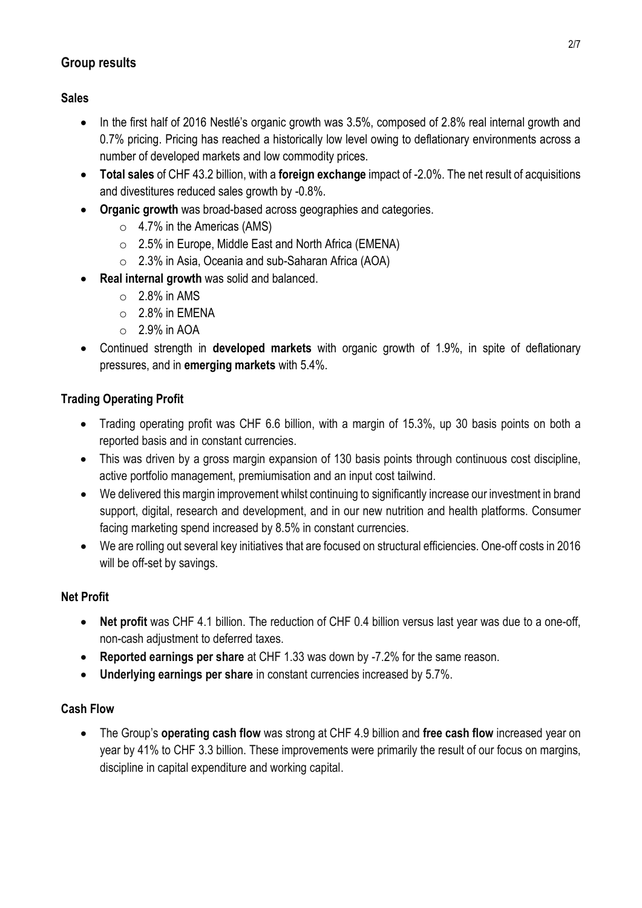## **Group results**

## **Sales**

- In the first half of 2016 Nestlé's organic growth was 3.5%, composed of 2.8% real internal growth and 0.7% pricing. Pricing has reached a historically low level owing to deflationary environments across a number of developed markets and low commodity prices.
- **Total sales** of CHF 43.2 billion, with a **foreign exchange** impact of -2.0%. The net result of acquisitions and divestitures reduced sales growth by -0.8%.
- **Organic growth** was broad-based across geographies and categories.
	- o 4.7% in the Americas (AMS)
	- o 2.5% in Europe, Middle East and North Africa (EMENA)
	- o 2.3% in Asia, Oceania and sub-Saharan Africa (AOA)
- **Real internal growth** was solid and balanced.
	- $\circ$  2.8% in AMS
	- $\circ$  2.8% in EMENA
	- $\circ$  2.9% in AOA
- Continued strength in **developed markets** with organic growth of 1.9%, in spite of deflationary pressures, and in **emerging markets** with 5.4%.

## **Trading Operating Profit**

- Trading operating profit was CHF 6.6 billion, with a margin of 15.3%, up 30 basis points on both a reported basis and in constant currencies.
- This was driven by a gross margin expansion of 130 basis points through continuous cost discipline, active portfolio management, premiumisation and an input cost tailwind.
- We delivered this margin improvement whilst continuing to significantly increase our investment in brand support, digital, research and development, and in our new nutrition and health platforms. Consumer facing marketing spend increased by 8.5% in constant currencies.
- We are rolling out several key initiatives that are focused on structural efficiencies. One-off costs in 2016 will be off-set by savings.

## **Net Profit**

- **Net profit** was CHF 4.1 billion. The reduction of CHF 0.4 billion versus last year was due to a one-off, non-cash adjustment to deferred taxes.
- **Reported earnings per share** at CHF 1.33 was down by -7.2% for the same reason.
- **Underlying earnings per share** in constant currencies increased by 5.7%.

## **Cash Flow**

 The Group's **operating cash flow** was strong at CHF 4.9 billion and **free cash flow** increased year on year by 41% to CHF 3.3 billion. These improvements were primarily the result of our focus on margins, discipline in capital expenditure and working capital.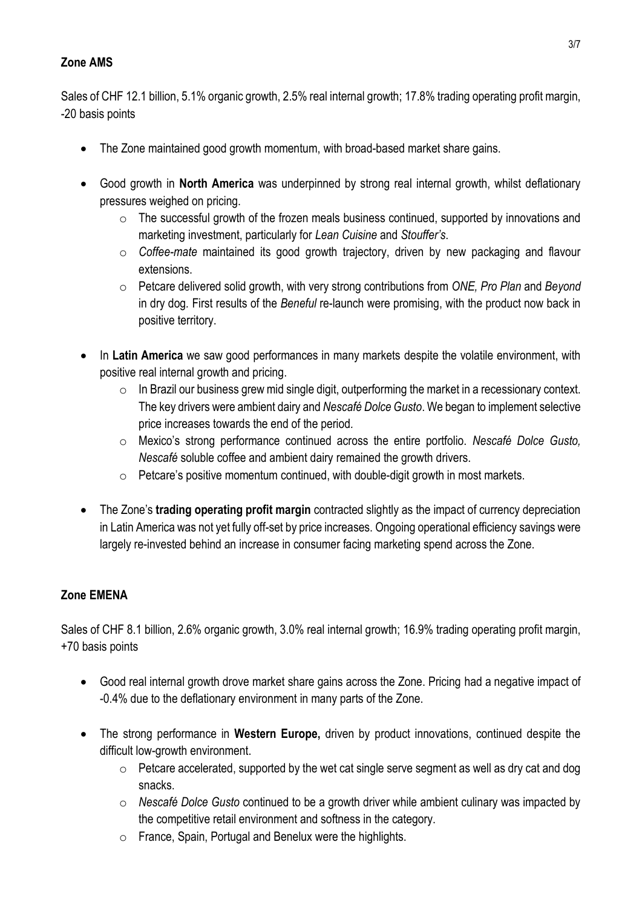## **Zone AMS**

Sales of CHF 12.1 billion, 5.1% organic growth, 2.5% real internal growth; 17.8% trading operating profit margin, -20 basis points

- The Zone maintained good growth momentum, with broad-based market share gains.
- Good growth in **North America** was underpinned by strong real internal growth, whilst deflationary pressures weighed on pricing.
	- o The successful growth of the frozen meals business continued, supported by innovations and marketing investment, particularly for *Lean Cuisine* and *Stouffer's*.
	- o *Coffee-mate* maintained its good growth trajectory, driven by new packaging and flavour extensions.
	- o Petcare delivered solid growth, with very strong contributions from *ONE, Pro Plan* and *Beyond*  in dry dog*.* First results of the *Beneful* re-launch were promising, with the product now back in positive territory.
- In Latin America we saw good performances in many markets despite the volatile environment, with positive real internal growth and pricing.
	- $\circ$  In Brazil our business grew mid single digit, outperforming the market in a recessionary context. The key drivers were ambient dairy and *Nescafé Dolce Gusto*. We began to implement selective price increases towards the end of the period*.*
	- o Mexico's strong performance continued across the entire portfolio. *Nescafé Dolce Gusto, Nescafé* soluble coffee and ambient dairy remained the growth drivers.
	- o Petcare's positive momentum continued, with double-digit growth in most markets.
- The Zone's **trading operating profit margin** contracted slightly as the impact of currency depreciation in Latin America was not yet fully off-set by price increases. Ongoing operational efficiency savings were largely re-invested behind an increase in consumer facing marketing spend across the Zone.

## **Zone EMENA**

Sales of CHF 8.1 billion, 2.6% organic growth, 3.0% real internal growth; 16.9% trading operating profit margin, +70 basis points

- Good real internal growth drove market share gains across the Zone. Pricing had a negative impact of -0.4% due to the deflationary environment in many parts of the Zone.
- The strong performance in **Western Europe,** driven by product innovations, continued despite the difficult low-growth environment.
	- $\circ$  Petcare accelerated, supported by the wet cat single serve segment as well as dry cat and dog snacks.
	- o *Nescafé Dolce Gusto* continued to be a growth driver while ambient culinary was impacted by the competitive retail environment and softness in the category.
	- o France, Spain, Portugal and Benelux were the highlights.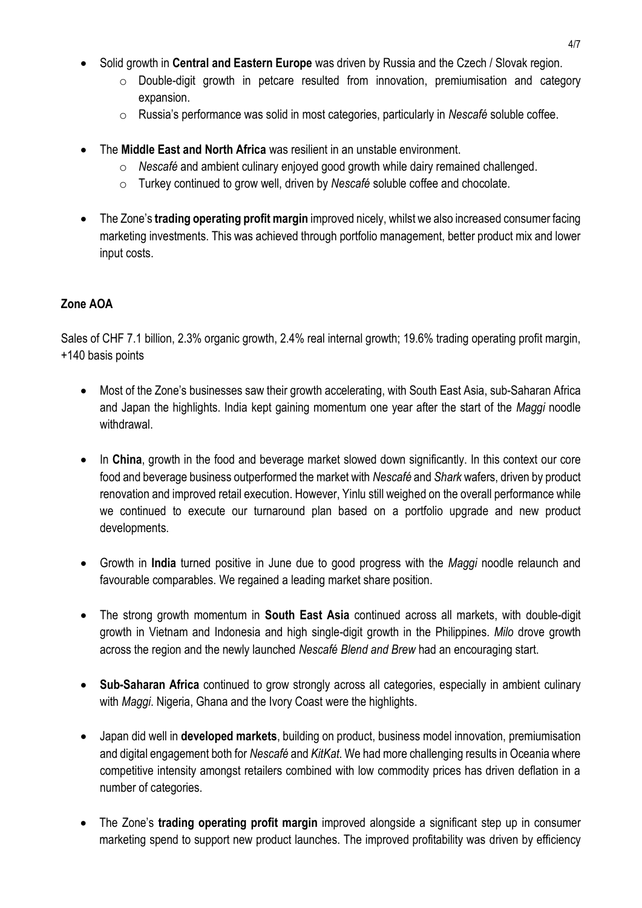- Solid growth in **Central and Eastern Europe** was driven by Russia and the Czech / Slovak region.
	- $\circ$  Double-digit growth in petcare resulted from innovation, premiumisation and category expansion.
	- o Russia's performance was solid in most categories, particularly in *Nescafé* soluble coffee.
- The **Middle East and North Africa** was resilient in an unstable environment.
	- o *Nescafé* and ambient culinary enjoyed good growth while dairy remained challenged.
	- o Turkey continued to grow well, driven by *Nescafé* soluble coffee and chocolate.
- The Zone's **trading operating profit margin** improved nicely, whilst we also increased consumer facing marketing investments. This was achieved through portfolio management, better product mix and lower input costs.

## **Zone AOA**

Sales of CHF 7.1 billion, 2.3% organic growth, 2.4% real internal growth; 19.6% trading operating profit margin, +140 basis points

- Most of the Zone's businesses saw their growth accelerating, with South East Asia, sub-Saharan Africa and Japan the highlights. India kept gaining momentum one year after the start of the *Maggi* noodle withdrawal.
- In **China**, growth in the food and beverage market slowed down significantly. In this context our core food and beverage business outperformed the market with *Nescafé* and *Shark* wafers, driven by product renovation and improved retail execution. However, Yinlu still weighed on the overall performance while we continued to execute our turnaround plan based on a portfolio upgrade and new product developments.
- Growth in **India** turned positive in June due to good progress with the *Maggi* noodle relaunch and favourable comparables. We regained a leading market share position.
- The strong growth momentum in **South East Asia** continued across all markets, with double-digit growth in Vietnam and Indonesia and high single-digit growth in the Philippines. *Milo* drove growth across the region and the newly launched *Nescafé Blend and Brew* had an encouraging start.
- **Sub-Saharan Africa** continued to grow strongly across all categories, especially in ambient culinary with *Maggi*. Nigeria, Ghana and the Ivory Coast were the highlights.
- Japan did well in **developed markets**, building on product, business model innovation, premiumisation and digital engagement both for *Nescafé* and *KitKat*. We had more challenging results in Oceania where competitive intensity amongst retailers combined with low commodity prices has driven deflation in a number of categories.
- The Zone's **trading operating profit margin** improved alongside a significant step up in consumer marketing spend to support new product launches. The improved profitability was driven by efficiency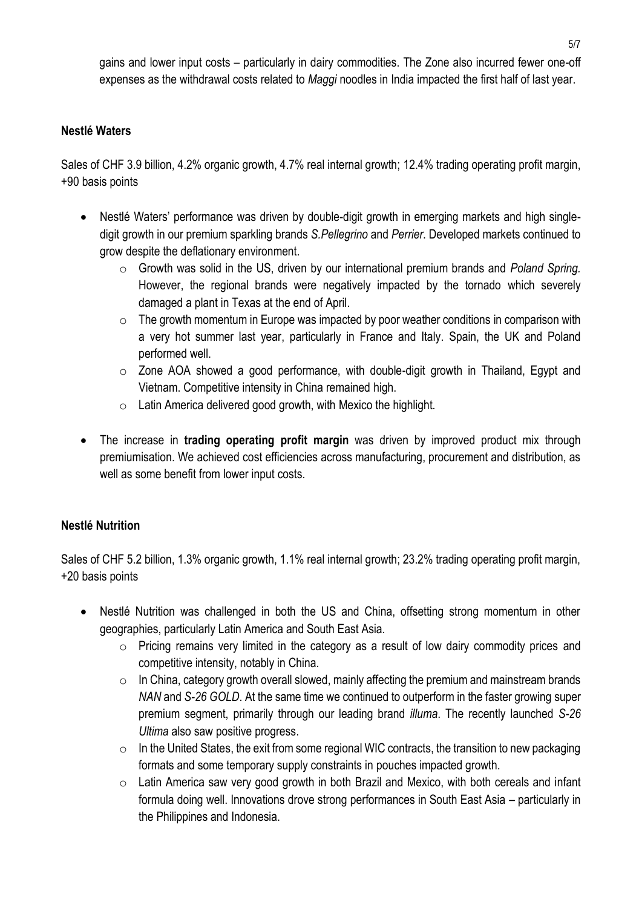gains and lower input costs – particularly in dairy commodities. The Zone also incurred fewer one-off expenses as the withdrawal costs related to *Maggi* noodles in India impacted the first half of last year.

#### **Nestlé Waters**

Sales of CHF 3.9 billion, 4.2% organic growth, 4.7% real internal growth; 12.4% trading operating profit margin, +90 basis points

- Nestlé Waters' performance was driven by double-digit growth in emerging markets and high singledigit growth in our premium sparkling brands *S.Pellegrino* and *Perrier*. Developed markets continued to grow despite the deflationary environment.
	- o Growth was solid in the US, driven by our international premium brands and *Poland Spring.*  However, the regional brands were negatively impacted by the tornado which severely damaged a plant in Texas at the end of April.
	- $\circ$  The growth momentum in Europe was impacted by poor weather conditions in comparison with a very hot summer last year, particularly in France and Italy. Spain, the UK and Poland performed well.
	- o Zone AOA showed a good performance, with double-digit growth in Thailand, Egypt and Vietnam. Competitive intensity in China remained high.
	- o Latin America delivered good growth, with Mexico the highlight.
- The increase in **trading operating profit margin** was driven by improved product mix through premiumisation. We achieved cost efficiencies across manufacturing, procurement and distribution, as well as some benefit from lower input costs.

## **Nestlé Nutrition**

Sales of CHF 5.2 billion, 1.3% organic growth, 1.1% real internal growth; 23.2% trading operating profit margin, +20 basis points

- Nestlé Nutrition was challenged in both the US and China, offsetting strong momentum in other geographies, particularly Latin America and South East Asia.
	- o Pricing remains very limited in the category as a result of low dairy commodity prices and competitive intensity, notably in China.
	- $\circ$  In China, category growth overall slowed, mainly affecting the premium and mainstream brands *NAN* and *S-26 GOLD*. At the same time we continued to outperform in the faster growing super premium segment, primarily through our leading brand *illuma*. The recently launched *S-26 Ultima* also saw positive progress.
	- $\circ$  In the United States, the exit from some regional WIC contracts, the transition to new packaging formats and some temporary supply constraints in pouches impacted growth.
	- o Latin America saw very good growth in both Brazil and Mexico, with both cereals and infant formula doing well. Innovations drove strong performances in South East Asia – particularly in the Philippines and Indonesia.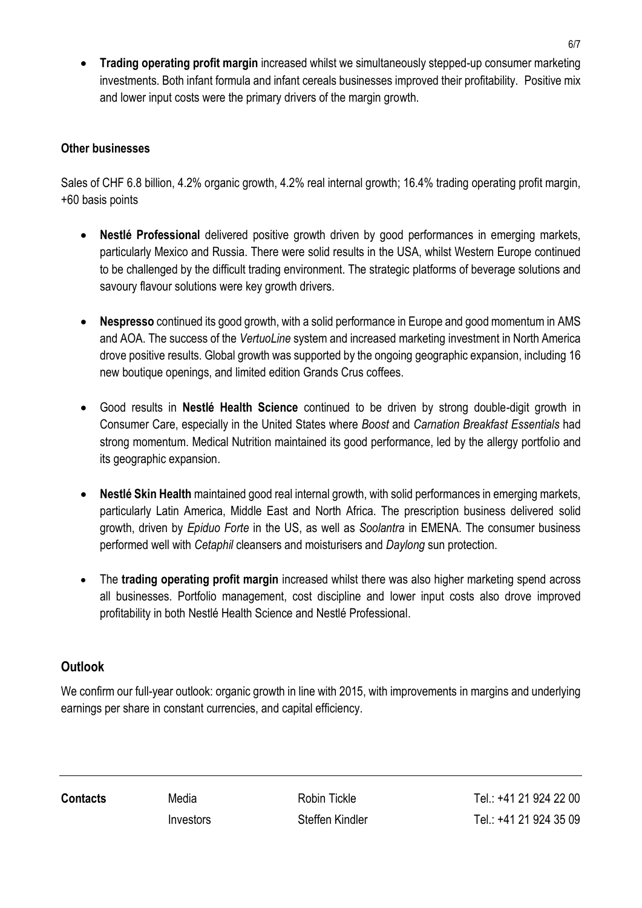**Trading operating profit margin** increased whilst we simultaneously stepped-up consumer marketing investments. Both infant formula and infant cereals businesses improved their profitability. Positive mix and lower input costs were the primary drivers of the margin growth.

## **Other businesses**

Sales of CHF 6.8 billion, 4.2% organic growth, 4.2% real internal growth; 16.4% trading operating profit margin, +60 basis points

- **Nestlé Professional** delivered positive growth driven by good performances in emerging markets, particularly Mexico and Russia. There were solid results in the USA, whilst Western Europe continued to be challenged by the difficult trading environment. The strategic platforms of beverage solutions and savoury flavour solutions were key growth drivers.
- **Nespresso** continued its good growth, with a solid performance in Europe and good momentum in AMS and AOA. The success of the *VertuoLine* system and increased marketing investment in North America drove positive results. Global growth was supported by the ongoing geographic expansion, including 16 new boutique openings, and limited edition Grands Crus coffees.
- Good results in **Nestlé Health Science** continued to be driven by strong double-digit growth in Consumer Care, especially in the United States where *Boost* and *Carnation Breakfast Essentials* had strong momentum. Medical Nutrition maintained its good performance, led by the allergy portfolio and its geographic expansion.
- **Nestlé Skin Health** maintained good real internal growth, with solid performances in emerging markets, particularly Latin America, Middle East and North Africa. The prescription business delivered solid growth, driven by *Epiduo Forte* in the US, as well as *Soolantra* in EMENA. The consumer business performed well with *Cetaphil* cleansers and moisturisers and *Daylong* sun protection.
- The **trading operating profit margin** increased whilst there was also higher marketing spend across all businesses. Portfolio management, cost discipline and lower input costs also drove improved profitability in both Nestlé Health Science and Nestlé Professional.

## **Outlook**

We confirm our full-year outlook: organic growth in line with 2015, with improvements in margins and underlying earnings per share in constant currencies, and capital efficiency.

**Contacts** Media Robin Tickle Tel.: +41 21 924 22 00 Investors Steffen Kindler Tel.: +41 21 924 35 09